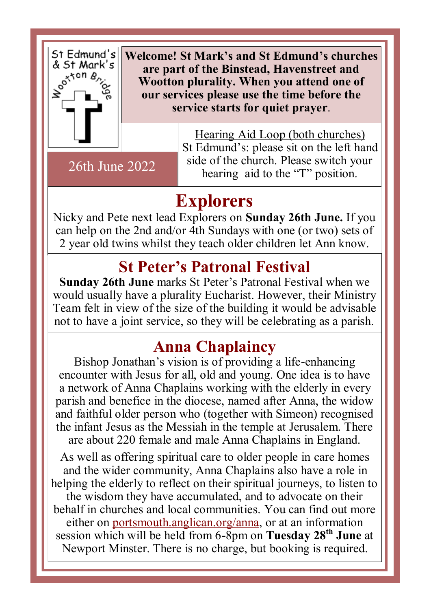

**Welcome! St Mark's and St Edmund's churches are part of the Binstead, Havenstreet and Wootton plurality. When you attend one of our services please use the time before the service starts for quiet prayer**.

26th June 2022

Hearing Aid Loop (both churches) St Edmund's: please sit on the left hand side of the church. Please switch your hearing aid to the "T" position.

## **Explorers**

Nicky and Pete next lead Explorers on **Sunday 26th June.** If you can help on the 2nd and/or 4th Sundays with one (or two) sets of 2 year old twins whilst they teach older children let Ann know.

# **St Peter's Patronal Festival**

**Sunday 26th June** marks St Peter's Patronal Festival when we would usually have a plurality Eucharist. However, their Ministry Team felt in view of the size of the building it would be advisable not to have a joint service, so they will be celebrating as a parish.

## **Anna Chaplaincy**

Bishop Jonathan's vision is of providing a life-enhancing encounter with Jesus for all, old and young. One idea is to have a network of Anna Chaplains working with the elderly in every parish and benefice in the diocese, named after Anna, the widow and faithful older person who (together with Simeon) recognised the infant Jesus as the Messiah in the temple at Jerusalem. There are about 220 female and male Anna Chaplains in England.

As well as offering spiritual care to older people in care homes and the wider community, Anna Chaplains also have a role in helping the elderly to reflect on their spiritual journeys, to listen to the wisdom they have accumulated, and to advocate on their behalf in churches and local communities. You can find out more either on [portsmouth.anglican.org/anna,](https://nam12.safelinks.protection.outlook.com/?url=https%3A%2F%2Fanglican.us11.list-manage.com%2Ftrack%2Fclick%3Fu%3D5020cadd6c9a6a12c8af9a6e4%26id%3D42f8ec732d%26e%3D9d3fbac325&data=05%7C01%7C%7C396b19b511554dc2517908da5049a4e7%7C84df9e7fe9f640afb435aaaaaaa) or at an information session which will be held from 6-8pm on **Tuesday 28th June** at Newport Minster. There is no charge, but booking is required.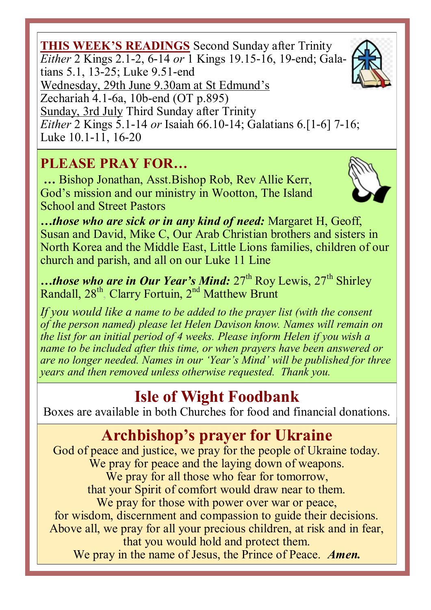**THIS WEEK'S READINGS** Second Sunday after Trinity *Either* 2 Kings 2.1-2, 6-14 *or* 1 Kings 19.15-16, 19-end; Gala-Sunday, 3rd July Third Sunday after Trinity *Either* 2 Kings 5.1-14 *or* Isaiah 66.10-14; Galatians 6.[1-6] 7-16; Luke 10.1-11, 16-20

#### **PLEASE PRAY FOR…**

**…** Bishop Jonathan, Asst.Bishop Rob, Rev Allie Kerr, God's mission and our ministry in Wootton, The Island School and Street Pastors

*…those who are sick or in any kind of need:* Margaret H, Geoff, Susan and David, Mike C, Our Arab Christian brothers and sisters in North Korea and the Middle East, Little Lions families, children of our church and parish, and all on our Luke 11 Line

…those who are in Our Year's Mind: 27<sup>th</sup> Roy Lewis, 27<sup>th</sup> Shirley Randall, 28<sup>th</sup>, Clarry Fortuin, 2<sup>nd</sup> Matthew Brunt

*If you would like a name to be added to the prayer list (with the consent of the person named) please let Helen Davison know. Names will remain on the list for an initial period of 4 weeks. Please inform Helen if you wish a name to be included after this time, or when prayers have been answered or are no longer needed. Names in our 'Year's Mind' will be published for three years and then removed unless otherwise requested. Thank you.*

### **Isle of Wight Foodbank**

Boxes are available in both Churches for food and financial donations.

### **Archbishop's prayer for Ukraine**

God of peace and justice, we pray for the people of Ukraine today. We pray for peace and the laying down of weapons. We pray for all those who fear for tomorrow, that your Spirit of comfort would draw near to them. We pray for those with power over war or peace, for wisdom, discernment and compassion to guide their decisions. Above all, we pray for all your precious children, at risk and in fear, that you would hold and protect them. We pray in the name of Jesus, the Prince of Peace. *Amen.*





tians 5.1, 13-25; Luke 9.51-end

Wednesday, 29th June 9.30am at St Edmund's

Zechariah 4.1-6a, 10b-end (OT p.895)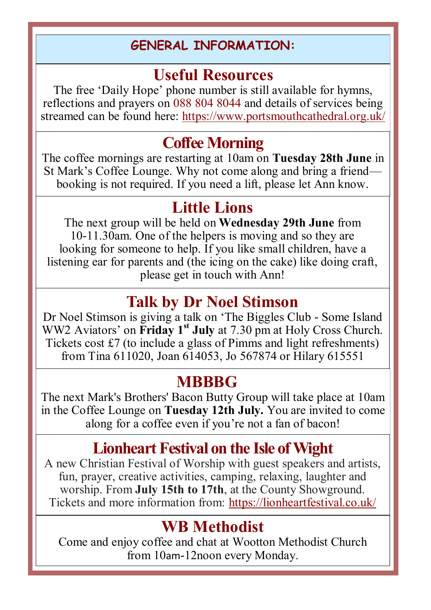#### **GENERAL INFORMATION:**

### **Useful Resources**

The free 'Daily Hope' phone number is still available for hymns, reflections and prayers on 088 804 8044 and details of services being streamed can be found here: https://www.portsmouthcathedral.org.uk/

### **Coffee Morning**

The coffee mornings are restarting at 10am on **Tuesday 28th June** in St Mark's Coffee Lounge. Why not come along and bring a friend booking is not required. If you need a lift, please let Ann know.

#### **Little Lions**

The next group will be held on **Wednesday 29th June** from 10-11.30am. One of the helpers is moving and so they are looking for someone to help. If you like small children, have a listening ear for parents and (the icing on the cake) like doing craft, please get in touch with Ann!

### **Talk by Dr Noel Stimson**

Dr Noel Stimson is giving a talk on 'The Biggles Club - Some Island WW2 Aviators' on **Friday 1st July** at 7.30 pm at Holy Cross Church. Tickets cost £7 (to include a glass of Pimms and light refreshments) from Tina 611020, Joan 614053, Jo 567874 or Hilary 615551

#### **MBBBG**

The next Mark's Brothers' Bacon Butty Group will take place at 10am in the Coffee Lounge on **Tuesday 12th July.** You are invited to come along for a coffee even if you're not a fan of bacon!

## **Lionheart Festival on the Isle of Wight**

A new Christian Festival of Worship with guest speakers and artists, fun, prayer, creative activities, camping, relaxing, laughter and worship. From **July 15th to 17th**, at the County Showground. Tickets and more information from: https://lionheartfestival.co.uk/

### **WB Methodist**

Come and enjoy coffee and chat at Wootton Methodist Church from 10am-12noon every Monday.